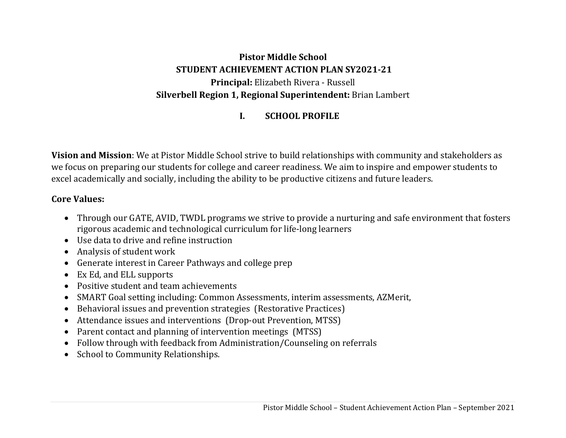# **Pistor Middle School STUDENT ACHIEVEMENT ACTION PLAN SY2021‐21 Principal:** Elizabeth Rivera - Russell **Silverbell Region 1, Regional Superintendent:** Brian Lambert

#### **I.SCHOOL PROFILE**

**Vision and Mission**: We at Pistor Middle School strive to build relationships with community and stakeholders as we focus on preparing our students for college and career readiness. We aim to inspire and empower students to excel academically and socially, including the ability to be productive citizens and future leaders.

#### **Core Values:**

- Through our GATE, AVID, TWDL programs we strive to provide a nurturing and safe environment that fosters rigorous academic and technological curriculum for life-long learners
- Use data to drive and refine instruction
- Analysis of student work
- Generate interest in Career Pathways and college prep
- Ex Ed, and ELL supports
- Positive student and team achievements
- SMART Goal setting including: Common Assessments, interim assessments, AZMerit,
- Behavioral issues and prevention strategies (Restorative Practices)
- Attendance issues and interventions (Drop-out Prevention, MTSS)
- Parent contact and planning of intervention meetings (MTSS)
- Follow through with feedback from Administration/Counseling on referrals
- School to Community Relationships.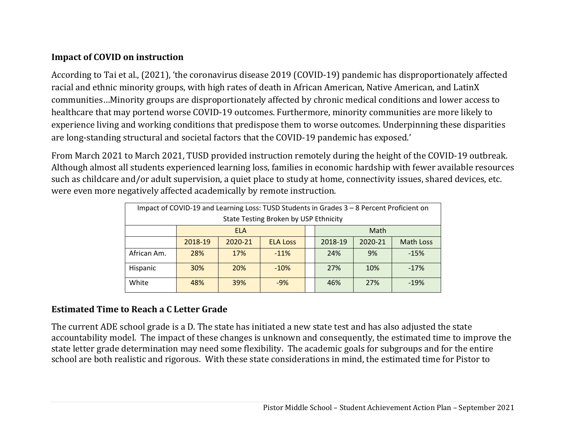# **Impact of COVID on instruction**

According to Tai et al., (2021), 'the coronavirus disease 2019 (COVID-19) pandemic has disproportionately affected racial and ethnic minority groups, with high rates of death in African American, Native American, and LatinX communities…Minority groups are disproportionately affected by chronic medical conditions and lower access to healthcare that may portend worse COVID-19 outcomes. Furthermore, minority communities are more likely to experience living and working conditions that predispose them to worse outcomes. Underpinning these disparities are long-standing structural and societal factors that the COVID-19 pandemic has exposed.'

From March 2021 to March 2021, TUSD provided instruction remotely during the height of the COVID-19 outbreak. Although almost all students experienced learning loss, families in economic hardship with fewer available resources such as childcare and/or adult supervision, a quiet place to study at home, connectivity issues, shared devices, etc. were even more negatively affected academically by remote instruction.

| Impact of COVID-19 and Learning Loss: TUSD Students in Grades 3 - 8 Percent Proficient on |         |            |                 |  |         |         |                  |
|-------------------------------------------------------------------------------------------|---------|------------|-----------------|--|---------|---------|------------------|
| State Testing Broken by USP Ethnicity                                                     |         |            |                 |  |         |         |                  |
|                                                                                           |         | <b>ELA</b> |                 |  |         | Math    |                  |
|                                                                                           | 2018-19 | 2020-21    | <b>ELA Loss</b> |  | 2018-19 | 2020-21 | <b>Math Loss</b> |
| African Am.                                                                               | 28%     | 17%        | $-11%$          |  | 24%     | 9%      | $-15%$           |
| Hispanic                                                                                  | 30%     | 20%        | $-10%$          |  | 27%     | 10%     | $-17%$           |
| White                                                                                     | 48%     | 39%        | $-9%$           |  | 46%     | 27%     | $-19%$           |

# **Estimated Time to Reach aC Letter Grade**

The current ADE school grade is a D. The state has initiated a new state test and has also adjusted the state accountability model. The impact of these changes is unknown and consequently, the estimated time to improve the state letter grade determination may need some flexibility. The academic goals for subgroups and for the entire school are both realistic and rigorous. With these state considerations in mind, the estimated time for Pistor to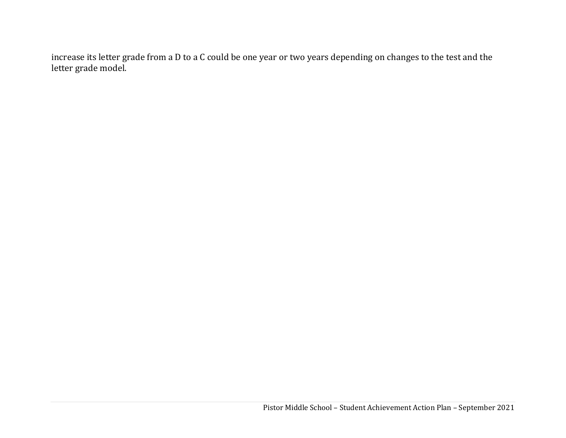increase its letter grade from a D to a C could be one year or two years depending on changes to the test and the letter grade model.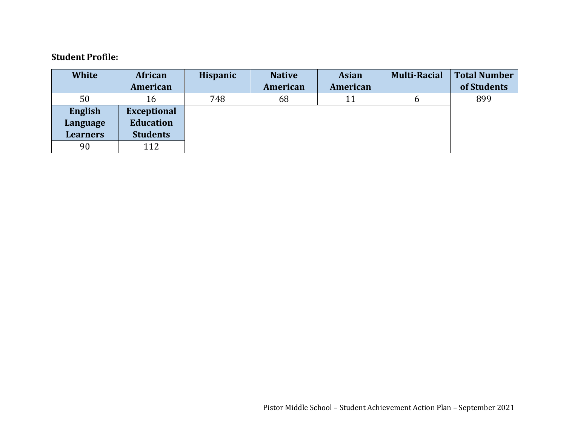#### **Student Profile:**

| <b>White</b>    | African            | <b>Hispanic</b> | <b>Native</b> | <b>Asian</b> | <b>Multi-Racial</b> | <b>Total Number</b> |
|-----------------|--------------------|-----------------|---------------|--------------|---------------------|---------------------|
|                 | American           |                 | American      | American     |                     | of Students         |
| 50              | 16                 | 748             | 68            | 11           | b                   | 899                 |
| English         | <b>Exceptional</b> |                 |               |              |                     |                     |
| Language        | <b>Education</b>   |                 |               |              |                     |                     |
| <b>Learners</b> | <b>Students</b>    |                 |               |              |                     |                     |
| 90              | 112                |                 |               |              |                     |                     |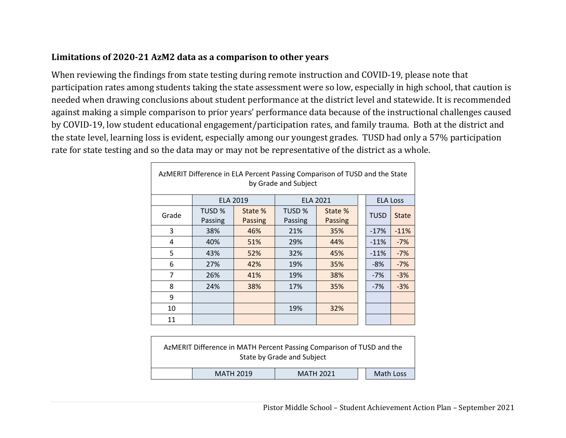#### **Limitations of 2020‐21 AzM2 data as a comparison to other years**

 $\Gamma$ 

When reviewing the findings from state testing during remote instruction and COVID-19, please note that participation rates among students taking the state assessment were so low, especially in high school, that caution is needed when drawing conclusions about student performance at the district level and statewide. It is recommended against making a simple comparison to prior years' performance data because of the instructional challenges caused by COVID-19, low student educational engagement/participation rates, and family trauma. Both at the district and the state level, learning loss is evident, especially among our youngest grades. TUSD had only a 57% participation rate for state testing and so the data may or may not be representative of the district as a whole.

| AzMERIT Difference in ELA Percent Passing Comparison of TUSD and the State<br>by Grade and Subject |                   |                    |                   |                    |  |                 |              |
|----------------------------------------------------------------------------------------------------|-------------------|--------------------|-------------------|--------------------|--|-----------------|--------------|
|                                                                                                    |                   | <b>ELA 2019</b>    |                   | <b>ELA 2021</b>    |  | <b>ELA Loss</b> |              |
| Grade                                                                                              | TUSD %<br>Passing | State %<br>Passing | TUSD %<br>Passing | State %<br>Passing |  | <b>TUSD</b>     | <b>State</b> |
| 3                                                                                                  | 38%               | 46%                | 21%               | 35%                |  | $-17%$          | $-11%$       |
| 4                                                                                                  | 40%               | 51%                | 29%               | 44%                |  | $-11%$          | $-7%$        |
| 5                                                                                                  | 43%               | 52%                | 32%               | 45%                |  | $-11%$          | $-7%$        |
| 6                                                                                                  | 27%               | 42%                | 19%               | 35%                |  | $-8%$           | $-7%$        |
| 7                                                                                                  | 26%               | 41%                | 19%               | 38%                |  | $-7%$           | $-3%$        |
| 8                                                                                                  | 24%               | 38%                | 17%               | 35%                |  | $-7%$           | $-3%$        |
| 9                                                                                                  |                   |                    |                   |                    |  |                 |              |
| 10                                                                                                 |                   |                    | 19%               | 32%                |  |                 |              |
| 11                                                                                                 |                   |                    |                   |                    |  |                 |              |

| AzMERIT Difference in MATH Percent Passing Comparison of TUSD and the<br>State by Grade and Subject |                  |           |  |  |  |
|-----------------------------------------------------------------------------------------------------|------------------|-----------|--|--|--|
| <b>MATH 2019</b>                                                                                    | <b>MATH 2021</b> | Math Loss |  |  |  |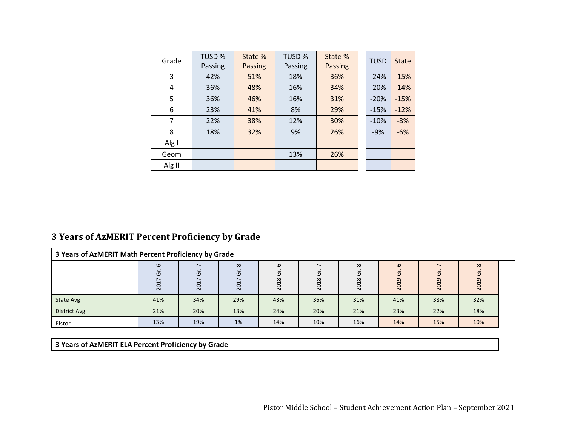| Grade  | TUSD %  | State %        | TUSD %  | State % | <b>TUSD</b> | <b>State</b> |
|--------|---------|----------------|---------|---------|-------------|--------------|
|        | Passing | <b>Passing</b> | Passing | Passing |             |              |
| 3      | 42%     | 51%            | 18%     | 36%     | $-24%$      | $-15%$       |
| 4      | 36%     | 48%            | 16%     | 34%     | $-20%$      | $-14%$       |
| 5      | 36%     | 46%            | 16%     | 31%     | $-20%$      | $-15%$       |
| 6      | 23%     | 41%            | 8%      | 29%     | $-15%$      | $-12%$       |
| 7      | 22%     | 38%            | 12%     | 30%     | $-10%$      | $-8%$        |
| 8      | 18%     | 32%            | 9%      | 26%     | $-9%$       | $-6%$        |
| Alg I  |         |                |         |         |             |              |
| Geom   |         |                | 13%     | 26%     |             |              |
| Alg II |         |                |         |         |             |              |

#### **3 Years of AzMERIT Percent Proficiency by Grade**

#### **3 Years of AzMERIT Math Percent Proficiency by Grade**

|                     | $\omega$<br>( פ<br>$\sim$ | $\overline{\phantom{0}}$<br>ပ<br>↽<br>0<br>$\overline{N}$ | $\infty$<br>O<br>$\overline{ }$<br>201 | $\omega$<br>פ<br>$\infty$<br>H<br>0<br>$\sim$ | $\overline{ }$<br>פ<br>$\infty$<br>↽<br>$\sim$ | $\infty$<br>O<br>$\infty$<br>⊣<br>0<br>$\sim$ | $\omega$<br>U<br>თ<br>201 | $\sim$<br>ပ<br>ᡡ<br>$\overline{\phantom{0}}$<br>$\circ$<br>$\sim$ | $\infty$<br>פ<br>$\sigma$<br>H<br>20 |
|---------------------|---------------------------|-----------------------------------------------------------|----------------------------------------|-----------------------------------------------|------------------------------------------------|-----------------------------------------------|---------------------------|-------------------------------------------------------------------|--------------------------------------|
| <b>State Avg</b>    | 41%                       | 34%                                                       | 29%                                    | 43%                                           | 36%                                            | 31%                                           | 41%                       | 38%                                                               | 32%                                  |
| <b>District Avg</b> | 21%                       | 20%                                                       | 13%                                    | 24%                                           | 20%                                            | 21%                                           | 23%                       | 22%                                                               | 18%                                  |
| Pistor              | 13%                       | 19%                                                       | 1%                                     | 14%                                           | 10%                                            | 16%                                           | 14%                       | 15%                                                               | 10%                                  |

**3 Years of AzMERIT ELA Percent Proficiency by Grade**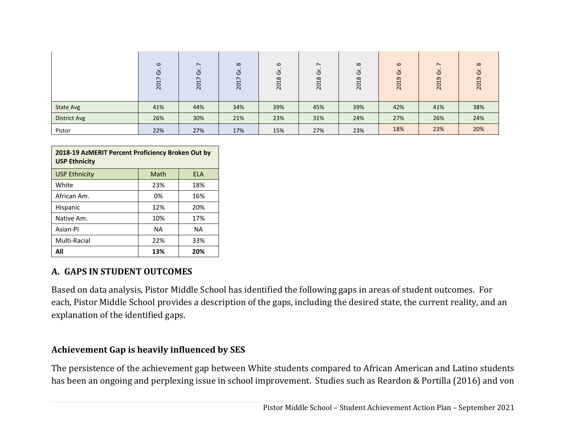|                     | $\omega$<br>U<br>2017 | $\sim$<br>উ<br>2017 | $\infty$<br>$\overline{c}$<br>5<br>$\overline{\sim}$ | $\omega$<br>ত<br>2018 | $\overline{\phantom{a}}$<br>Ğ<br>2018 | $\infty$<br>U<br>$\infty$<br>$\ddot{c}$<br>$\overline{\sim}$ | $\omega$<br>Ğ<br>2019 | $\sim$<br>ত<br>2019 | $\infty$<br>U<br>ᡡ<br>$\mathbf{\mathbf{\mathsf{H}}}$<br>$\circ$<br>$\overline{\mathbf{C}}$ |
|---------------------|-----------------------|---------------------|------------------------------------------------------|-----------------------|---------------------------------------|--------------------------------------------------------------|-----------------------|---------------------|--------------------------------------------------------------------------------------------|
| <b>State Avg</b>    | 41%                   | 44%                 | 34%                                                  | 39%                   | 45%                                   | 39%                                                          | 42%                   | 41%                 | 38%                                                                                        |
| <b>District Avg</b> | 26%                   | 30%                 | 21%                                                  | 23%                   | 31%                                   | 24%                                                          | 27%                   | 26%                 | 24%                                                                                        |
| Pistor              | 22%                   | 27%                 | 17%                                                  | 15%                   | 27%                                   | 23%                                                          | 18%                   | 23%                 | 20%                                                                                        |

| 2018-19 AzMERIT Percent Proficiency Broken Out by<br><b>USP Ethnicity</b> |           |            |  |  |
|---------------------------------------------------------------------------|-----------|------------|--|--|
| <b>USP Ethnicity</b>                                                      | Math      | <b>ELA</b> |  |  |
| White                                                                     | 23%       | 18%        |  |  |
| African Am.                                                               | 0%        | 16%        |  |  |
| Hispanic                                                                  | 12%       | 20%        |  |  |
| Native Am.                                                                | 10%       | 17%        |  |  |
| Asian-Pl                                                                  | <b>NA</b> | ΝA         |  |  |
| Multi-Racial                                                              | 22%       | 33%        |  |  |
| All                                                                       | 13%       | 20%        |  |  |

#### **A. GAPS IN STUDENT OUTCOMES**

Based on data analysis, Pistor Middle School has identified the following gaps in areas of student outcomes. For each, Pistor Middle School provides a description of the gaps, including the desired state, the current reality, and an explanation of the identified gaps.

#### **Achievement Gap is heavily influenced by SES**

The persistence of the achievement gap between White students compared to African American and Latino students has been an ongoing and perplexing issue in school improvement. Studies such as Reardon & Portilla (2016) and von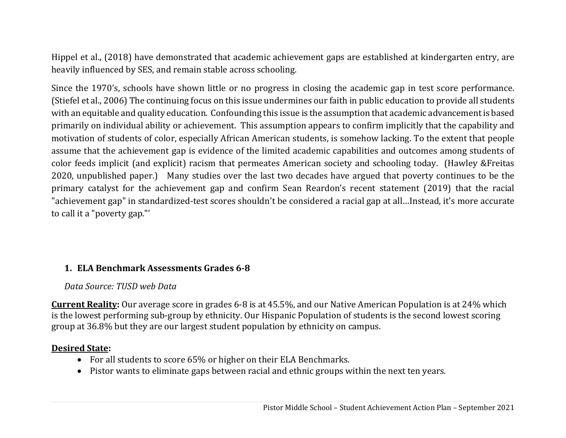Hippel et al., (2018) have demonstrated that academic achievement gaps are established at kindergarten entry, are heavily influenced by SES, and remain stable across schooling.

Since the 1970's, schools have shown little or no progress in closing the academic gap in test score performance. (Stiefel et al., 2006) The continuing focus on this issue undermines our faith in public education to provide all students with an equitable and quality education. Confounding this issue is the assumption that academic advancement is based primarily on individual ability or achievement. This assumption appears to confirm implicitly that the capability and motivation of students of color, especially African American students, is somehow lacking. To the extent that people assume that the achievement gap is evidence of the limited academic capabilities and outcomes among students of color feeds implicit (and explicit) racism that permeates American society and schooling today. (Hawley &Freitas 2020, unpublished paper.) Many studies over the last two decades have argued that poverty continues to be the primary catalyst for the achievement gap and confirm Sean Reardon's recent statement (2019) that the racial "achievement gap" in standardized-test scores shouldn't be considered a racial gap at all…Instead, it's more accurate to call it a "poverty gap."'

# **1. ELA Benchmark Assessments Grades 6‐8**

# *Data Source: TUSD web Data*

**Current Reality:** Our average score in grades 6-8 is at 45.5%, and our Native American Population is at 24% which is the lowest performing sub-group by ethnicity. Our Hispanic Population of students is the second lowest scoring group at 36.8% but they are our largest student population by ethnicity on campus.

# **Desired State:**

- For all students to score 65% or higher on their ELA Benchmarks.
- Pistor wants to eliminate gaps between racial and ethnic groups within the next ten years.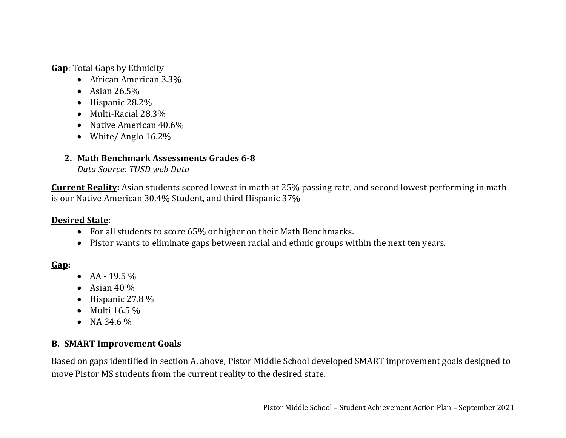**Gap**: Total Gaps by Ethnicity

- African American 3.3%
- Asian 26.5%
- Hispanic 28.2%
- Multi-Racial 28.3%
- Native American 40.6%
- White/ Anglo 16.2%

# **2. Math Benchmark Assessments Grades 6‐8**

*Data Source: TUSD web Data*

**Current Reality:** Asian students scored lowest in math at 25% passing rate, and second lowest performing in math is our Native American 30.4% Student, and third Hispanic 37%

# **Desired State**:

- For all students to score 65% or higher on their Math Benchmarks.
- Pistor wants to eliminate gaps between racial and ethnic groups within the next ten years.

# **Gap:**

- $AA 19.5\%$
- Asian  $40\%$
- Hispanic 27.8  $%$
- Multi  $16.5\%$
- NA 34.6  $%$

# **B. SMART Improvement Goals**

Based on gaps identified in section A, above, Pistor Middle School developed SMART improvement goals designed to move Pistor MS students from the current reality to the desired state.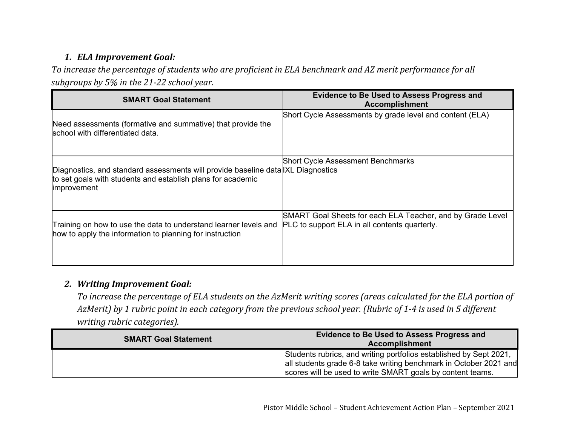# *1. ELA Improvement Goal:*

To increase the percentage of students who are proficient in ELA benchmark and AZ merit performance for all *subgroups by 5% in the 21‐22 school year.*

| <b>SMART Goal Statement</b>                                                                                                                                   | <b>Evidence to Be Used to Assess Progress and</b><br><b>Accomplishment</b>                                  |
|---------------------------------------------------------------------------------------------------------------------------------------------------------------|-------------------------------------------------------------------------------------------------------------|
| Need assessments (formative and summative) that provide the<br>school with differentiated data.                                                               | Short Cycle Assessments by grade level and content (ELA)                                                    |
| Diagnostics, and standard assessments will provide baseline data XL Diagnostics<br>to set goals with students and establish plans for academic<br>improvement | <b>Short Cycle Assessment Benchmarks</b>                                                                    |
| Training on how to use the data to understand learner levels and<br>how to apply the information to planning for instruction                                  | SMART Goal Sheets for each ELA Teacher, and by Grade Level<br>PLC to support ELA in all contents quarterly. |

#### *2. Writing Improvement Goal:*

To increase the percentage of ELA students on the AzMerit writing scores (areas calculated for the ELA portion of AzMerit) by 1 rubric point in each category from the previous school year. (Rubric of 1-4 is used in 5 different *writing rubric categories).*

| <b>SMART Goal Statement</b> | <b>Evidence to Be Used to Assess Progress and</b><br><b>Accomplishment</b>                                                                                                                            |
|-----------------------------|-------------------------------------------------------------------------------------------------------------------------------------------------------------------------------------------------------|
|                             | Students rubrics, and writing portfolios established by Sept 2021,<br>all students grade 6-8 take writing benchmark in October 2021 and<br>scores will be used to write SMART goals by content teams. |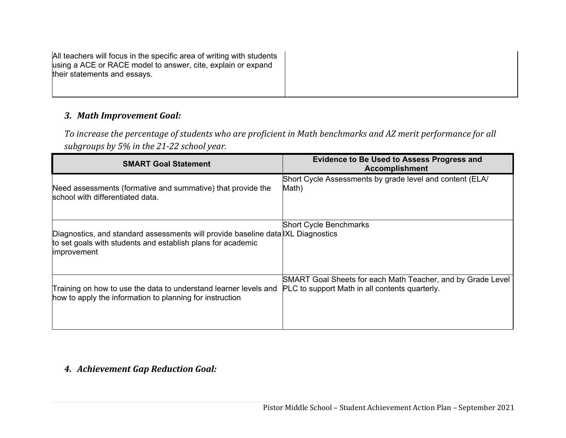| All teachers will focus in the specific area of writing with students<br>using a ACE or RACE model to answer, cite, explain or expand<br>their statements and essays. |  |
|-----------------------------------------------------------------------------------------------------------------------------------------------------------------------|--|
|                                                                                                                                                                       |  |

#### *3. Math Improvement Goal:*

To increase the percentage of students who are proficient in Math benchmarks and AZ merit performance for all *subgroups by 5% in the 21‐22 school year.*

| <b>SMART Goal Statement</b>                                                                                                                                          | <b>Evidence to Be Used to Assess Progress and</b><br><b>Accomplishment</b> |
|----------------------------------------------------------------------------------------------------------------------------------------------------------------------|----------------------------------------------------------------------------|
| Need assessments (formative and summative) that provide the                                                                                                          | Short Cycle Assessments by grade level and content (ELA/                   |
| school with differentiated data.                                                                                                                                     | Math)                                                                      |
| Diagnostics, and standard assessments will provide baseline data XL Diagnostics<br>to set goals with students and establish plans for academic<br><i>improvement</i> | <b>Short Cycle Benchmarks</b>                                              |
| Training on how to use the data to understand learner levels and                                                                                                     | SMART Goal Sheets for each Math Teacher, and by Grade Level                |
| how to apply the information to planning for instruction                                                                                                             | PLC to support Math in all contents quarterly.                             |

#### *4. Achievement Gap Reduction Goal:*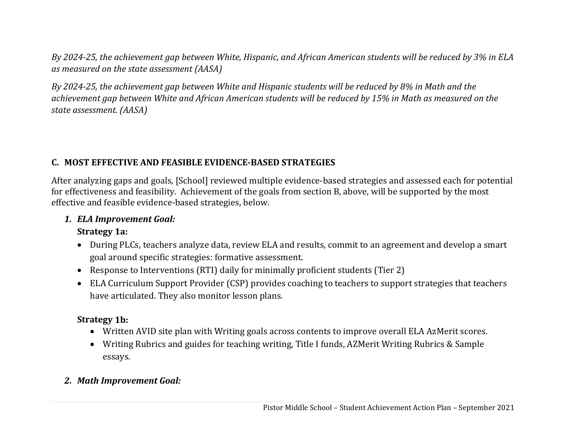By 2024-25, the achievement gap between White, Hispanic, and African American students will be reduced by 3% in ELA *as measured on the state assessment (AASA)*

By 2024-25, the achievement gap between White and Hispanic students will be reduced by 8% in Math and the achievement gap between White and African American students will be reduced by 15% in Math as measured on the *state assessment. (AASA)*

# **C. MOST EFFECTIVE AND FEASIBLE EVIDENCE‐BASED STRATEGIES**

After analyzing gaps and goals, [School] reviewed multiple evidence-based strategies and assessed each for potential for effectiveness and feasibility. Achievement of the goals from section B, above, will be supported by the most effective and feasible evidence-based strategies, below.

#### *1. ELA Improvement Goal:*

#### **Strategy 1a:**

- During PLCs, teachers analyze data, review ELA and results, commit to an agreement and develop a smart goal around specific strategies: formative assessment.
- Response to Interventions (RTI) daily for minimally proficient students (Tier 2)
- ELA Curriculum Support Provider (CSP) provides coaching to teachers to support strategies that teachers have articulated. They also monitor lesson plans.

# **Strategy 1b:**

- Written AVID site plan with Writing goals across contents to improve overall ELA AzMerit scores.
- Writing Rubrics and guides for teaching writing, Title I funds, AZMerit Writing Rubrics & Sample essays.

# *2. Math Improvement Goal:*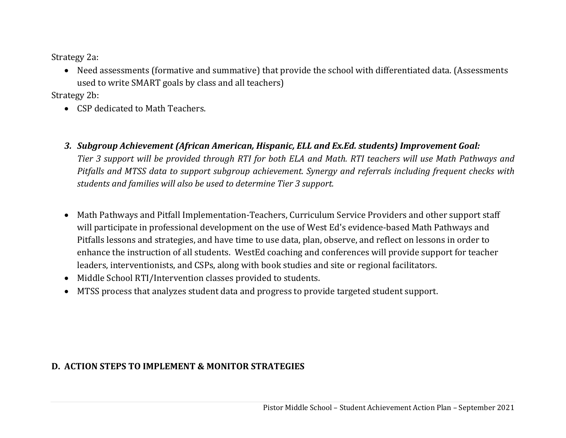Strategy 2a:

 Need assessments (formative and summative) that provide the school with differentiated data. (Assessments used to write SMART goals by class and all teachers)

Strategy 2b:

- CSP dedicated to Math Teachers.
- *3. Subgroup Achievement (African American, Hispanic, ELL and Ex.Ed. students) Improvement Goal:* Tier 3 support will be provided through RTI for both ELA and Math. RTI teachers will use Math Pathways and *Pitfalls and MTSS data to support subgroup achievement. Synergy and referrals including frequent checks with students and families will also be used to determine Tier 3 support.*
- $\bullet$  Math Pathways and Pitfall Implementation-Teachers, Curriculum Service Providers and other support staff will participate in professional development on the use of West Ed's evidence-based Math Pathways and Pitfalls lessons and strategies, and have time to use data, plan, observe, and reflect on lessons in order to enhance the instruction of all students. WestEd coaching and conferences will provide support for teacher leaders, interventionists, and CSPs, along with book studies and site or regional facilitators.
- $\bullet$ Middle School RTI/Intervention classes provided to students.
- $\bullet$ MTSS process that analyzes student data and progress to provide targeted student support.

# **D. ACTION STEPS TO IMPLEMENT & MONITOR STRATEGIES**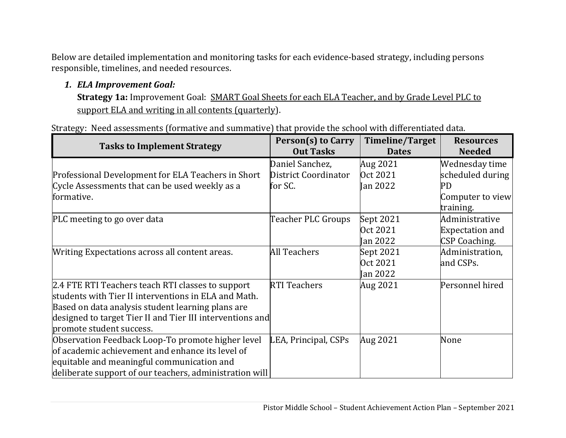Below are detailed implementation and monitoring tasks for each evidence-based strategy, including persons responsible, timelines, and needed resources.

# *1. ELA Improvement Goal:*

**Strategy 1a:** Improvement Goal: SMART Goal Sheets for each ELA Teacher, and by Grade Level PLC to support ELA and writing in all contents (quarterly).

Strategy: Need assessments (formative and summative) that provide the school with differentiated data.

| <b>Tasks to Implement Strategy</b>                        | <b>Person(s) to Carry</b><br><b>Out Tasks</b> | <b>Timeline/Target</b><br><b>Dates</b> | <b>Resources</b><br><b>Needed</b> |
|-----------------------------------------------------------|-----------------------------------------------|----------------------------------------|-----------------------------------|
|                                                           | Daniel Sanchez,                               | Aug 2021                               | Wednesday time                    |
| Professional Development for ELA Teachers in Short        | District Coordinator                          | Oct 2021                               | scheduled during                  |
| Cycle Assessments that can be used weekly as a            | for SC.                                       | <b>Jan 2022</b>                        | PD                                |
| formative.                                                |                                               |                                        | Computer to view                  |
|                                                           |                                               |                                        | training.                         |
| PLC meeting to go over data                               | Teacher PLC Groups                            | Sept 2021                              | Administrative                    |
|                                                           |                                               | Oct 2021                               | <b>Expectation and</b>            |
|                                                           |                                               | Jan 2022                               | <b>CSP Coaching.</b>              |
| Writing Expectations across all content areas.            | <b>All Teachers</b>                           | Sept 2021                              | Administration,                   |
|                                                           |                                               | Oct 2021                               | and CSPs.                         |
|                                                           |                                               | <b>Jan 2022</b>                        |                                   |
| 2.4 FTE RTI Teachers teach RTI classes to support         | <b>RTI Teachers</b>                           | Aug 2021                               | Personnel hired                   |
| students with Tier II interventions in ELA and Math.      |                                               |                                        |                                   |
| Based on data analysis student learning plans are         |                                               |                                        |                                   |
| designed to target Tier II and Tier III interventions and |                                               |                                        |                                   |
| promote student success.                                  |                                               |                                        |                                   |
| Observation Feedback Loop-To promote higher level         | LEA, Principal, CSPs                          | Aug 2021                               | None                              |
| of academic achievement and enhance its level of          |                                               |                                        |                                   |
| equitable and meaningful communication and                |                                               |                                        |                                   |
| deliberate support of our teachers, administration will   |                                               |                                        |                                   |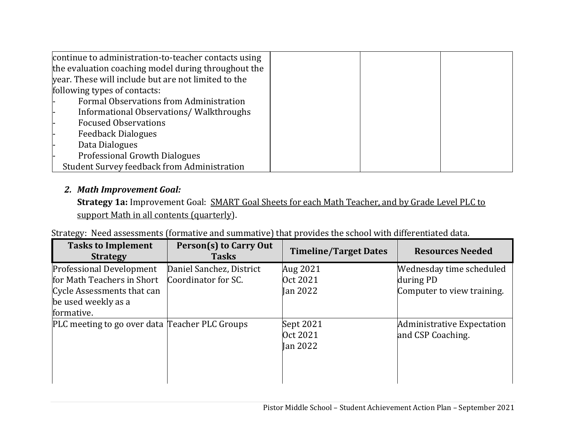| continue to administration-to-teacher contacts using |  |
|------------------------------------------------------|--|
| the evaluation coaching model during throughout the  |  |
| year. These will include but are not limited to the  |  |
| following types of contacts:                         |  |
| Formal Observations from Administration              |  |
| Informational Observations/Walkthroughs              |  |
| <b>Focused Observations</b>                          |  |
| <b>Feedback Dialogues</b>                            |  |
| Data Dialogues                                       |  |
| Professional Growth Dialogues                        |  |
| <b>Student Survey feedback from Administration</b>   |  |

# *2. Math Improvement Goal:*

**Strategy 1a:** Improvement Goal: SMART Goal Sheets for each Math Teacher, and by Grade Level PLC to support Math in all contents (quarterly).

|                                                                                                                                  | Strategy: Need assessments (formative and summative) that provides the school with differentiated data. |                                   |                                                                     |
|----------------------------------------------------------------------------------------------------------------------------------|---------------------------------------------------------------------------------------------------------|-----------------------------------|---------------------------------------------------------------------|
| <b>Tasks to Implement</b><br><b>Strategy</b>                                                                                     | Person(s) to Carry Out<br><b>Tasks</b>                                                                  | <b>Timeline/Target Dates</b>      | <b>Resources Needed</b>                                             |
| <b>Professional Development</b><br>for Math Teachers in Short<br>Cycle Assessments that can<br>be used weekly as a<br>formative. | Daniel Sanchez, District<br>Coordinator for SC.                                                         | Aug 2021<br>Oct 2021<br>Ian 2022  | Wednesday time scheduled<br>during PD<br>Computer to view training. |
| PLC meeting to go over data Teacher PLC Groups                                                                                   |                                                                                                         | Sept 2021<br>Oct 2021<br>Ian 2022 | Administrative Expectation<br>and CSP Coaching.                     |

Strategy: Need assessments (formative and summative) that provides the school with differentiated data.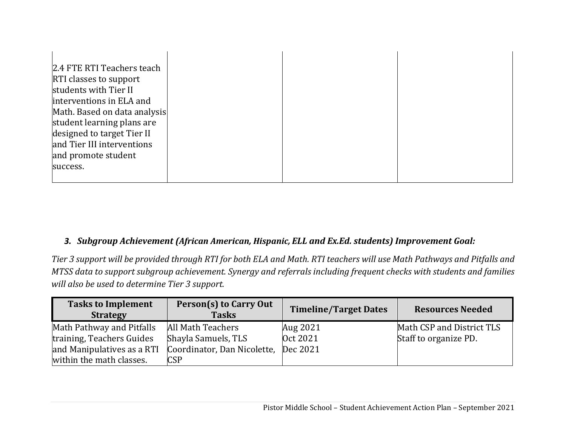| 2.4 FTE RTI Teachers teach    |  |
|-------------------------------|--|
| <b>RTI</b> classes to support |  |
| students with Tier II         |  |
| interventions in ELA and      |  |
| Math. Based on data analysis  |  |
| student learning plans are    |  |
| designed to target Tier II    |  |
| and Tier III interventions    |  |
| and promote student           |  |
| success.                      |  |
|                               |  |

#### *3. Subgroup Achievement (African American, Hispanic, ELL and Ex.Ed. students) Improvement Goal:*

Tier 3 support will be provided through RTI for both ELA and Math. RTI teachers will use Math Pathways and Pitfalls and MTSS data to support subgroup achievement. Synergy and referrals including frequent checks with students and families *will also be used to determine Tier 3 support.*

| <b>Tasks to Implement</b><br><b>Strategy</b> | Person(s) to Carry Out<br><b>Tasks</b> | <b>Timeline/Target Dates</b> | <b>Resources Needed</b>   |
|----------------------------------------------|----------------------------------------|------------------------------|---------------------------|
| Math Pathway and Pitfalls                    | All Math Teachers                      | Aug 2021                     | Math CSP and District TLS |
| training, Teachers Guides                    | Shayla Samuels, TLS                    | Oct 2021                     | Staff to organize PD.     |
| and Manipulatives as a RTI                   | Coordinator, Dan Nicolette, Dec 2021   |                              |                           |
| within the math classes.                     | <b>CSP</b>                             |                              |                           |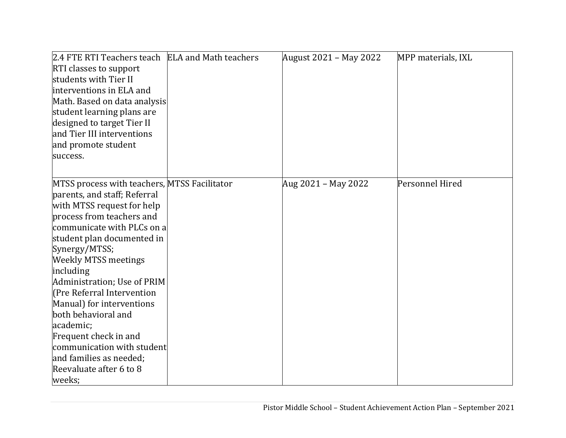| 2.4 FTE RTI Teachers teach ELA and Math teachers | August 2021 - May 2022 | MPP materials, IXL |
|--------------------------------------------------|------------------------|--------------------|
| <b>RTI classes to support</b>                    |                        |                    |
| students with Tier II                            |                        |                    |
| interventions in ELA and                         |                        |                    |
| Math. Based on data analysis                     |                        |                    |
| student learning plans are                       |                        |                    |
| designed to target Tier II                       |                        |                    |
| and Tier III interventions                       |                        |                    |
| and promote student                              |                        |                    |
| success.                                         |                        |                    |
|                                                  |                        |                    |
| MTSS process with teachers, MTSS Facilitator     | Aug 2021 - May 2022    | Personnel Hired    |
| parents, and staff; Referral                     |                        |                    |
| with MTSS request for help                       |                        |                    |
| process from teachers and                        |                        |                    |
| communicate with PLCs on a                       |                        |                    |
| student plan documented in                       |                        |                    |
| Synergy/MTSS;                                    |                        |                    |
| <b>Weekly MTSS meetings</b>                      |                        |                    |
| including                                        |                        |                    |
| Administration; Use of PRIM                      |                        |                    |
| (Pre Referral Intervention                       |                        |                    |
| Manual) for interventions                        |                        |                    |
| both behavioral and                              |                        |                    |
| academic;                                        |                        |                    |
| Frequent check in and                            |                        |                    |
| communication with student                       |                        |                    |
| and families as needed;                          |                        |                    |
| Reevaluate after 6 to 8                          |                        |                    |
| weeks;                                           |                        |                    |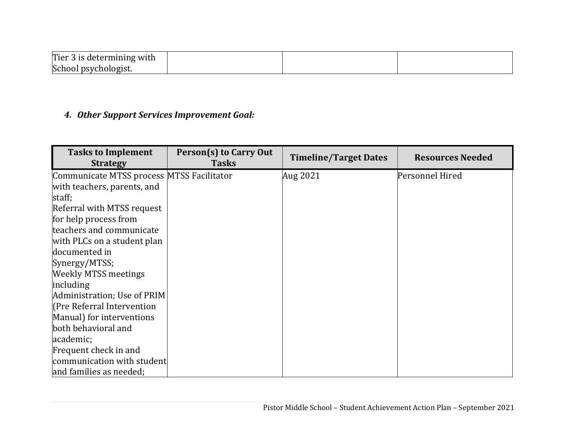| $T$ ier 3 IS utterman<br>3 is determining<br>'g with |  |  |
|------------------------------------------------------|--|--|
| School psychologist.                                 |  |  |

#### *4. Other Support Services Improvement Goal:*

| <b>Tasks to Implement</b><br><b>Strategy</b> | Person(s) to Carry Out<br><b>Tasks</b> | <b>Timeline/Target Dates</b> | <b>Resources Needed</b> |
|----------------------------------------------|----------------------------------------|------------------------------|-------------------------|
| Communicate MTSS process MTSS Facilitator    |                                        | Aug 2021                     | Personnel Hired         |
| with teachers, parents, and                  |                                        |                              |                         |
| staff;                                       |                                        |                              |                         |
| Referral with MTSS request                   |                                        |                              |                         |
| for help process from                        |                                        |                              |                         |
| teachers and communicate                     |                                        |                              |                         |
| with PLCs on a student plan                  |                                        |                              |                         |
| documented in                                |                                        |                              |                         |
| Synergy/MTSS;                                |                                        |                              |                         |
| <b>Weekly MTSS meetings</b>                  |                                        |                              |                         |
| including                                    |                                        |                              |                         |
| Administration; Use of PRIM                  |                                        |                              |                         |
| (Pre Referral Intervention                   |                                        |                              |                         |
| Manual) for interventions                    |                                        |                              |                         |
| both behavioral and                          |                                        |                              |                         |
| academic;                                    |                                        |                              |                         |
| Frequent check in and                        |                                        |                              |                         |
| communication with student                   |                                        |                              |                         |
| and families as needed;                      |                                        |                              |                         |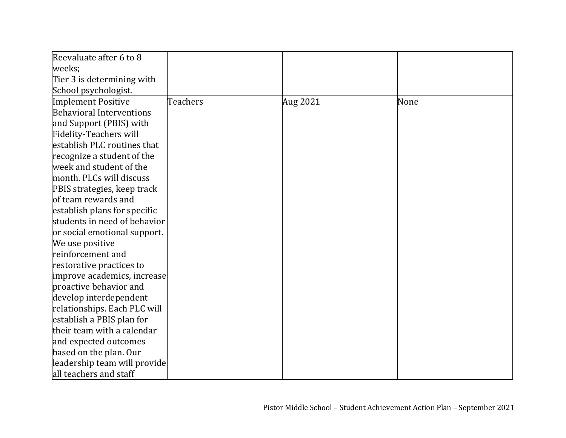| Reevaluate after 6 to 8         |          |          |      |
|---------------------------------|----------|----------|------|
| weeks;                          |          |          |      |
| Tier 3 is determining with      |          |          |      |
| School psychologist.            |          |          |      |
| Implement Positive              | Teachers | Aug 2021 | None |
| <b>Behavioral Interventions</b> |          |          |      |
| and Support (PBIS) with         |          |          |      |
| <b>Fidelity-Teachers will</b>   |          |          |      |
| establish PLC routines that     |          |          |      |
| recognize a student of the      |          |          |      |
| week and student of the         |          |          |      |
| month. PLCs will discuss        |          |          |      |
| PBIS strategies, keep track     |          |          |      |
| of team rewards and             |          |          |      |
| establish plans for specific    |          |          |      |
| students in need of behavior    |          |          |      |
| or social emotional support.    |          |          |      |
| We use positive                 |          |          |      |
| reinforcement and               |          |          |      |
| restorative practices to        |          |          |      |
| improve academics, increase     |          |          |      |
| proactive behavior and          |          |          |      |
| develop interdependent          |          |          |      |
| relationships. Each PLC will    |          |          |      |
| establish a PBIS plan for       |          |          |      |
| their team with a calendar      |          |          |      |
| and expected outcomes           |          |          |      |
| based on the plan. Our          |          |          |      |
| leadership team will provide    |          |          |      |
| all teachers and staff          |          |          |      |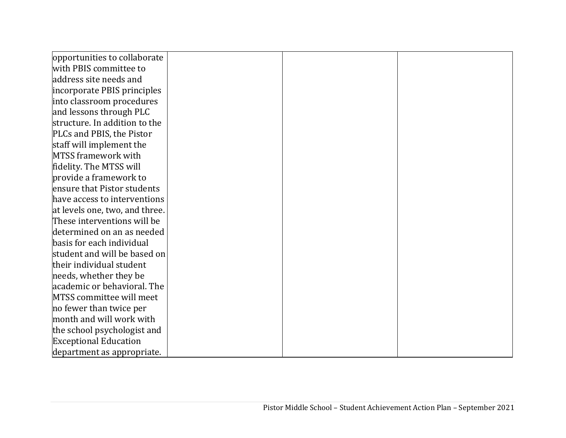| opportunities to collaborate   |  |  |
|--------------------------------|--|--|
| with PBIS committee to         |  |  |
| address site needs and         |  |  |
| incorporate PBIS principles    |  |  |
| into classroom procedures      |  |  |
| and lessons through PLC        |  |  |
| structure. In addition to the  |  |  |
| PLCs and PBIS, the Pistor      |  |  |
| staff will implement the       |  |  |
| MTSS framework with            |  |  |
| fidelity. The MTSS will        |  |  |
| provide a framework to         |  |  |
| ensure that Pistor students    |  |  |
| have access to interventions   |  |  |
| at levels one, two, and three. |  |  |
| These interventions will be    |  |  |
| determined on an as needed     |  |  |
| basis for each individual      |  |  |
| student and will be based on   |  |  |
| their individual student       |  |  |
| needs, whether they be         |  |  |
| academic or behavioral. The    |  |  |
| MTSS committee will meet       |  |  |
| no fewer than twice per        |  |  |
| month and will work with       |  |  |
| the school psychologist and    |  |  |
| <b>Exceptional Education</b>   |  |  |
| department as appropriate.     |  |  |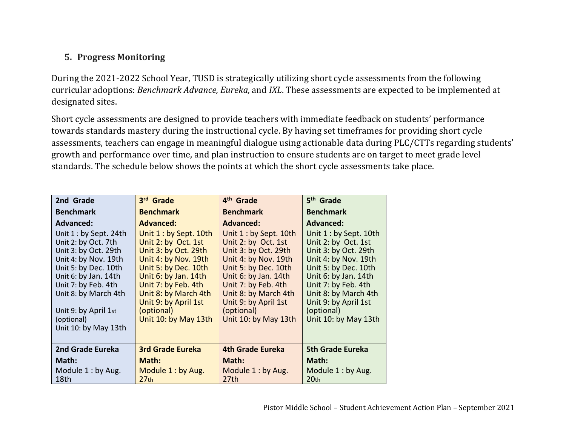# **5. Progress Monitoring**

During the 2021-2022 School Year, TUSD is strategically utilizing short cycle assessments from the following curricular adoptions: *Benchmark Advance, Eureka,* and *IXL*. These assessments are expected to be implemented at designated sites.

Short cycle assessments are designed to provide teachers with immediate feedback on students' performance towards standards mastery during the instructional cycle. By having set timeframes for providing short cycle assessments, teachers can engage in meaningful dialogue using actionable data during PLC/CTTs regarding students' growth and performance over time, and plan instruction to ensure students are on target to meet grade level standards. The schedule below shows the points at which the short cycle assessments take place.

| 2nd Grade                                                                                                                                                                                                                                                   | 3rd Grade                                                                                                                                                                                                                                                   | 4 <sup>th</sup> Grade                                                                                                                                                                                                                                       | 5 <sup>th</sup> Grade                                                                                                                                                                                                                                      |
|-------------------------------------------------------------------------------------------------------------------------------------------------------------------------------------------------------------------------------------------------------------|-------------------------------------------------------------------------------------------------------------------------------------------------------------------------------------------------------------------------------------------------------------|-------------------------------------------------------------------------------------------------------------------------------------------------------------------------------------------------------------------------------------------------------------|------------------------------------------------------------------------------------------------------------------------------------------------------------------------------------------------------------------------------------------------------------|
| <b>Benchmark</b>                                                                                                                                                                                                                                            | <b>Benchmark</b>                                                                                                                                                                                                                                            | <b>Benchmark</b>                                                                                                                                                                                                                                            | <b>Benchmark</b>                                                                                                                                                                                                                                           |
| <b>Advanced:</b>                                                                                                                                                                                                                                            | <b>Advanced:</b>                                                                                                                                                                                                                                            | <b>Advanced:</b>                                                                                                                                                                                                                                            | <b>Advanced:</b>                                                                                                                                                                                                                                           |
| Unit $1:$ by Sept. 24th<br>Unit 2: by Oct. 7th<br>Unit 3: by Oct. 29th<br>Unit 4: by Nov. 19th<br>Unit 5: by Dec. 10th<br>Unit 6: by Jan. 14th<br>Unit 7: by Feb. 4th<br>Unit 8: by March 4th<br>Unit 9: by April 1st<br>(optional)<br>Unit 10: by May 13th | Unit $1:$ by Sept. 10th<br>Unit 2: by Oct. 1st<br>Unit 3: by Oct. 29th<br>Unit 4: by Nov. 19th<br>Unit 5: by Dec. 10th<br>Unit 6: by Jan. 14th<br>Unit 7: by Feb. 4th<br>Unit 8: by March 4th<br>Unit 9: by April 1st<br>(optional)<br>Unit 10: by May 13th | Unit $1:$ by Sept. 10th<br>Unit 2: by Oct. 1st<br>Unit 3: by Oct. 29th<br>Unit 4: by Nov. 19th<br>Unit 5: by Dec. 10th<br>Unit 6: by Jan. 14th<br>Unit 7: by Feb. 4th<br>Unit 8: by March 4th<br>Unit 9: by April 1st<br>(optional)<br>Unit 10: by May 13th | Unit 1 : by Sept. 10th<br>Unit 2: by Oct. 1st<br>Unit 3: by Oct. 29th<br>Unit 4: by Nov. 19th<br>Unit 5: by Dec. 10th<br>Unit 6: by Jan. 14th<br>Unit 7: by Feb. 4th<br>Unit 8: by March 4th<br>Unit 9: by April 1st<br>(optional)<br>Unit 10: by May 13th |
|                                                                                                                                                                                                                                                             |                                                                                                                                                                                                                                                             |                                                                                                                                                                                                                                                             |                                                                                                                                                                                                                                                            |
| 2nd Grade Eureka                                                                                                                                                                                                                                            | <b>3rd Grade Eureka</b>                                                                                                                                                                                                                                     | <b>4th Grade Eureka</b>                                                                                                                                                                                                                                     | <b>5th Grade Eureka</b>                                                                                                                                                                                                                                    |
| Math:                                                                                                                                                                                                                                                       | Math:                                                                                                                                                                                                                                                       | Math:                                                                                                                                                                                                                                                       | Math:                                                                                                                                                                                                                                                      |
| Module $1:$ by Aug.<br>18th                                                                                                                                                                                                                                 | Module 1: by Aug.<br>27 <sub>th</sub>                                                                                                                                                                                                                       | Module 1: by Aug.<br>27th                                                                                                                                                                                                                                   | Module 1: by Aug.<br>20 <sub>th</sub>                                                                                                                                                                                                                      |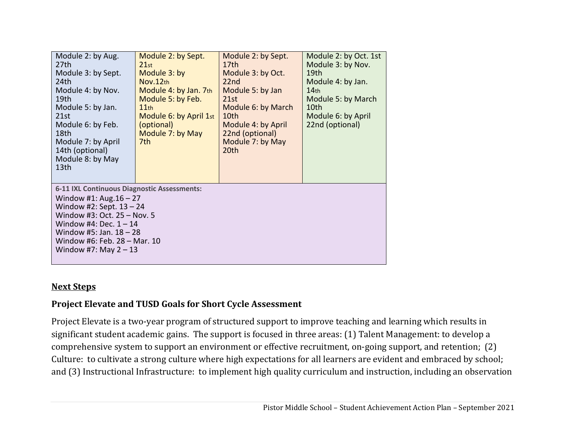| Module 2: by Aug.<br>27th<br>Module 3: by Sept.<br>24th<br>Module 4: by Nov.<br>19th<br>Module 5: by Jan.<br>21st<br>Module 6: by Feb.<br>18th<br>Module 7: by April<br>14th (optional)<br>Module 8: by May<br>13 <sub>th</sub>                           | Module 2: by Sept.<br>21st<br>Module 3: by<br>Nov.12th<br>Module 4: by Jan. 7th<br>Module 5: by Feb.<br>11th<br>Module 6: by April 1st<br>(optional)<br>Module 7: by May<br>7th. | Module 2: by Sept.<br>17 <sub>th</sub><br>Module 3: by Oct.<br>22 <sub>nd</sub><br>Module 5: by Jan<br>21st<br>Module 6: by March<br>10th<br>Module 4: by April<br>22nd (optional)<br>Module 7: by May<br>20th | Module 2: by Oct. 1st<br>Module 3: by Nov.<br>19 <sub>th</sub><br>Module 4: by Jan.<br>14 <sub>th</sub><br>Module 5: by March<br>10th<br>Module 6: by April<br>22nd (optional) |  |
|-----------------------------------------------------------------------------------------------------------------------------------------------------------------------------------------------------------------------------------------------------------|----------------------------------------------------------------------------------------------------------------------------------------------------------------------------------|----------------------------------------------------------------------------------------------------------------------------------------------------------------------------------------------------------------|--------------------------------------------------------------------------------------------------------------------------------------------------------------------------------|--|
| 6-11 IXL Continuous Diagnostic Assessments:<br>Window #1: Aug. $16 - 27$<br>Window #2: Sept. $13 - 24$<br>Window #3: Oct. 25 - Nov. 5<br>Window #4: Dec. $1 - 14$<br>Window #5: Jan. $18 - 28$<br>Window #6: Feb. 28 - Mar. 10<br>Window #7: May $2 - 13$ |                                                                                                                                                                                  |                                                                                                                                                                                                                |                                                                                                                                                                                |  |

#### **Next Steps**

# **Project Elevate and TUSD Goals for Short Cycle Assessment**

Project Elevate is a two-year program of structured support to improve teaching and learning which results in significant student academic gains. The support is focused in three areas: (1) Talent Management: to develop a comprehensive system to support an environment or effective recruitment, on-going support, and retention; (2) Culture: to cultivate a strong culture where high expectations for all learners are evident and embraced by school; and (3) Instructional Infrastructure: to implement high quality curriculum and instruction, including an observation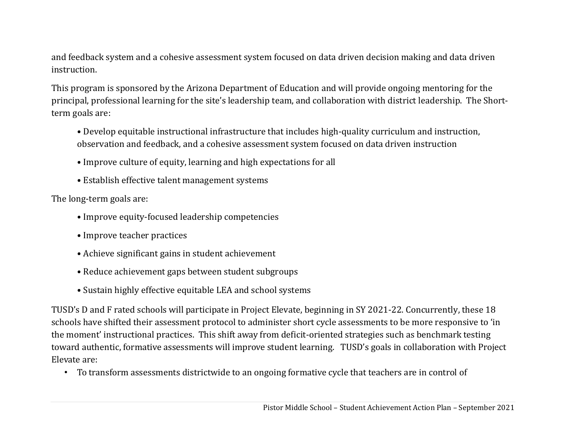and feedback system and a cohesive assessment system focused on data driven decision making and data driven instruction.

This program is sponsored by the Arizona Department of Education and will provide ongoing mentoring for the principal, professional learning for the site's leadership team, and collaboration with district leadership. The Shortterm goals are:

- Develop equitable instructional infrastructure that includes high-quality curriculum and instruction, observation and feedback, and a cohesive assessment system focused on data driven instruction
- Improve culture of equity, learning and high expectations for all
- Establish effective talent management systems

The long-term goals are:

- Improve equity-focused leadership competencies
- Improve teacher practices
- Achieve significant gains in student achievement
- Reduce achievement gaps between student subgroups
- Sustain highly effective equitable LEA and school systems

TUSD's D and F rated schools will participate in Project Elevate, beginning in SY 2021-22. Concurrently, these 18 schools have shifted their assessment protocol to administer short cycle assessments to be more responsive to 'in the moment' instructional practices. This shift away from deficit-oriented strategies such as benchmark testing toward authentic, formative assessments will improve student learning. TUSD's goals in collaboration with Project Elevate are:

• To transform assessments districtwide to an ongoing formative cycle that teachers are in control of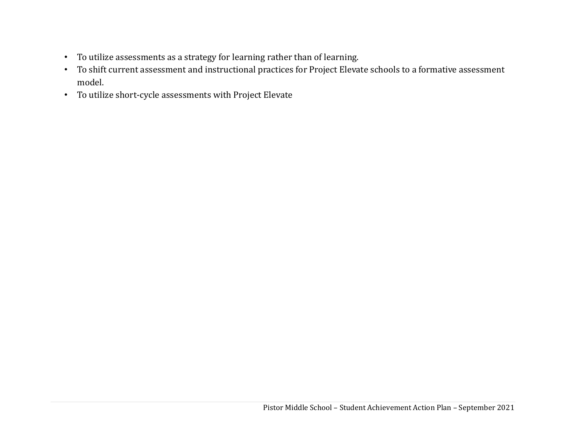- To utilize assessments as a strategy for learning rather than of learning.
- To shift current assessment and instructional practices for Project Elevate schools to a formative assessment model.
- To utilize short-cycle assessments with Project Elevate